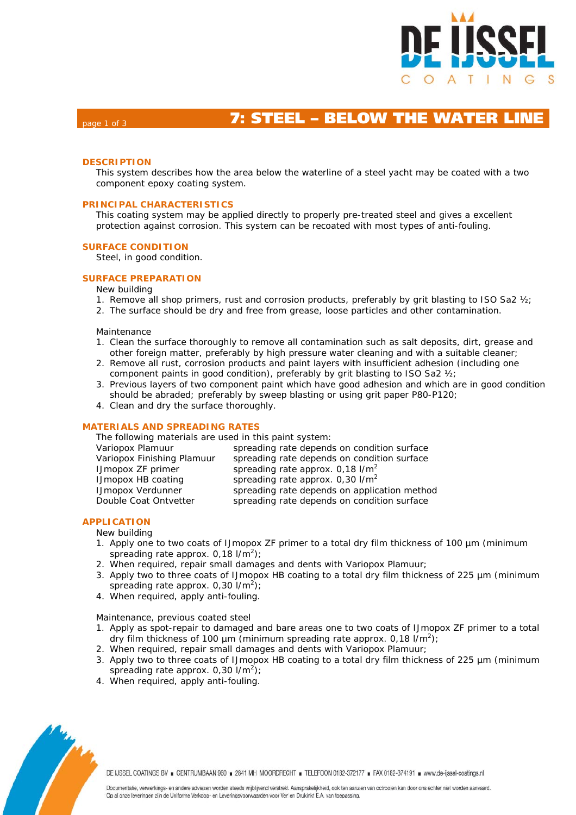

# **Page 1 of 3 <b>7: STEEL – BELOW THE WATER LIN**

### **DESCRIPTION**

This system describes how the area below the waterline of a steel yacht may be coated with a two component epoxy coating system.

### **PRINCIPAL CHARACTERISTICS**

This coating system may be applied directly to properly pre-treated steel and gives a excellent protection against corrosion. This system can be recoated with most types of anti-fouling.

#### **SURFACE CONDITION**

Steel, in good condition.

### **SURFACE PREPARATION**

New building

- 1. Remove all shop primers, rust and corrosion products, preferably by grit blasting to ISO Sa2 ½;
- 2. The surface should be dry and free from grease, loose particles and other contamination.

Maintenance

- 1. Clean the surface thoroughly to remove all contamination such as salt deposits, dirt, grease and other foreign matter, preferably by high pressure water cleaning and with a suitable cleaner;
- 2. Remove all rust, corrosion products and paint layers with insufficient adhesion (including one component paints in good condition), preferably by grit blasting to ISO Sa2 ½;
- 3. Previous layers of two component paint which have good adhesion and which are in good condition should be abraded; preferably by sweep blasting or using grit paper P80-P120;
- 4. Clean and dry the surface thoroughly.

#### **MATERIALS AND SPREADING RATES**

### **APPLICATION**

New building

- 1. Apply one to two coats of IJmopox ZF primer to a total dry film thickness of 100 µm (minimum spreading rate approx.  $0,18$  l/m<sup>2</sup>);
- 2. When required, repair small damages and dents with Variopox Plamuur;
- 3. Apply two to three coats of IJmopox HB coating to a total dry film thickness of 225 µm (minimum spreading rate approx.  $0,30$  l/m<sup>2</sup>);
- 4. When required, apply anti-fouling.

Maintenance, previous coated steel

- 1. Apply as spot-repair to damaged and bare areas one to two coats of IJmopox ZF primer to a total dry film thickness of 100  $\mu$ m (minimum spreading rate approx. 0,18 l/m<sup>2</sup>);
- 2. When required, repair small damages and dents with Variopox Plamuur;
- 3. Apply two to three coats of IJmopox HB coating to a total dry film thickness of 225 µm (minimum spreading rate approx.  $0,30$  l/m<sup>2</sup>);
- 4. When required, apply anti-fouling.



DE IJSSEL COATINGS BV E CENTRUMBAAN 960 E 2841 MH MOORDRECHT E TELEFOON 0182-372177 E FAX 0182-374191 E www.de-ijssel-coatings.nl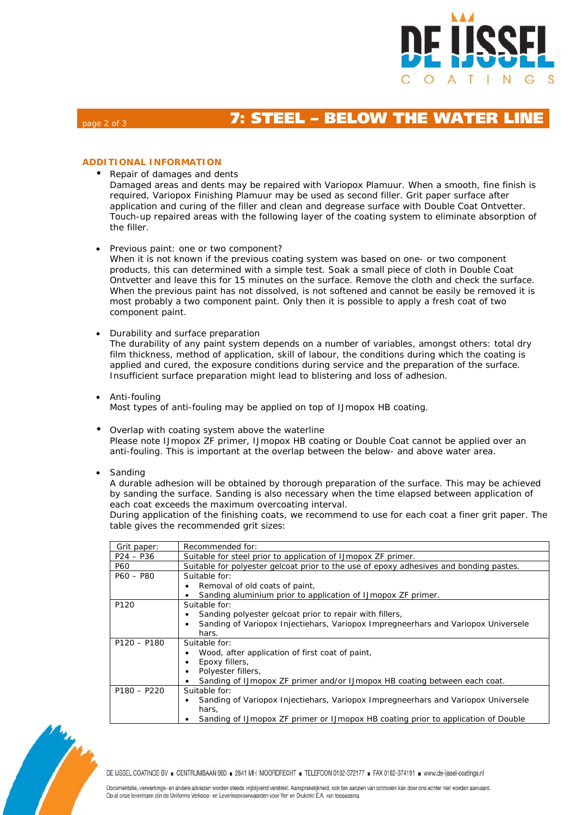

# **Page 2 of 3 <b>7: STEEL – BELOW THE WATER LIN**

## **ADDITIONAL INFORMATION**

• Repair of damages and dents

Damaged areas and dents may be repaired with Variopox Plamuur. When a smooth, fine finish is required, Variopox Finishing Plamuur may be used as second filler. Grit paper surface after application and curing of the filler and clean and degrease surface with Double Coat Ontvetter. Touch-up repaired areas with the following layer of the coating system to eliminate absorption of the filler.

Previous paint: one or two component?

When it is not known if the previous coating system was based on one- or two component products, this can determined with a simple test. Soak a small piece of cloth in Double Coat Ontvetter and leave this for 15 minutes on the surface. Remove the cloth and check the surface. When the previous paint has not dissolved, is not softened and cannot be easily be removed it is most probably a two component paint. Only then it is possible to apply a fresh coat of two component paint.

- Durability and surface preparation The durability of any paint system depends on a number of variables, amongst others: total dry film thickness, method of application, skill of labour, the conditions during which the coating is applied and cured, the exposure conditions during service and the preparation of the surface. Insufficient surface preparation might lead to blistering and loss of adhesion.
- Anti-fouling Most types of anti-fouling may be applied on top of IJmopox HB coating.
- Overlap with coating system above the waterline Please note IJmopox ZF primer, IJmopox HB coating or Double Coat cannot be applied over an anti-fouling. This is important at the overlap between the below- and above water area.
- Sanding

A durable adhesion will be obtained by thorough preparation of the surface. This may be achieved by sanding the surface. Sanding is also necessary when the time elapsed between application of each coat exceeds the maximum overcoating interval.

During application of the finishing coats, we recommend to use for each coat a finer grit paper. The table gives the recommended grit sizes:

| Grit paper:      | Recommended for:                                                                       |  |  |  |  |  |
|------------------|----------------------------------------------------------------------------------------|--|--|--|--|--|
| $P24 - P36$      | Suitable for steel prior to application of IJmopox ZF primer.                          |  |  |  |  |  |
| P60              | Suitable for polyester gelcoat prior to the use of epoxy adhesives and bonding pastes. |  |  |  |  |  |
| $P60 - P80$      | Suitable for:                                                                          |  |  |  |  |  |
|                  | Removal of old coats of paint,                                                         |  |  |  |  |  |
|                  | Sanding aluminium prior to application of IJmopox ZF primer.                           |  |  |  |  |  |
| P <sub>120</sub> | Suitable for:                                                                          |  |  |  |  |  |
|                  | Sanding polyester gelcoat prior to repair with fillers,                                |  |  |  |  |  |
|                  | Sanding of Variopox Injectiehars, Variopox Impregneerhars and Variopox Universele      |  |  |  |  |  |
|                  | hars.                                                                                  |  |  |  |  |  |
| $P120 - P180$    | Suitable for:                                                                          |  |  |  |  |  |
|                  | Wood, after application of first coat of paint,                                        |  |  |  |  |  |
|                  | Epoxy fillers,                                                                         |  |  |  |  |  |
|                  | Polyester fillers,                                                                     |  |  |  |  |  |
|                  | Sanding of IJmopox ZF primer and/or IJmopox HB coating between each coat.              |  |  |  |  |  |
| $P180 - P220$    | Suitable for:                                                                          |  |  |  |  |  |
|                  | Sanding of Variopox Injectiehars, Variopox Impregneerhars and Variopox Universele      |  |  |  |  |  |
|                  | hars.                                                                                  |  |  |  |  |  |
|                  | Sanding of IJmopox ZF primer or IJmopox HB coating prior to application of Double      |  |  |  |  |  |



DE IJSSEL COATINGS BV = CENTRUMBAAN 960 = 2841 MH MOORDRECHT = TELEFOON 0182-372177 = FAX 0182-374191 = www.de-ijssel-coatings.nl